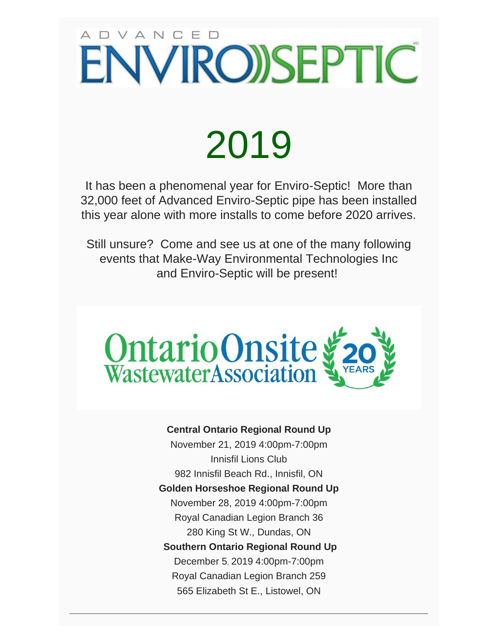# ADVANCED **ENVIRO)SEPTIC**

# 2019

It has been a phenomenal year for Enviro-Septic! More than 32,000 feet of Advanced Enviro-Septic pipe has been installed this year alone with more installs to come before 2020 arrives.

Still unsure? Come and see us at one of the many following events that Make-Way Environmental Technologies Inc and Enviro-Septic will be present!



#### **Central Ontario Regional Round Up**

November 21, 2019 4:00pm-7:00pm Innisfil Lions Club 982 Innisfil Beach Rd., Innisfil, ON **Golden Horseshoe Regional Round Up** November 28, 2019 4:00pm-7:00pm Royal Canadian Legion Branch 36 280 King St W., Dundas, ON **Southern Ontario Regional Round Up** December 5, 2019 4:00pm-7:00pm Royal Canadian Legion Branch 259 565 Elizabeth St E., Listowel, ON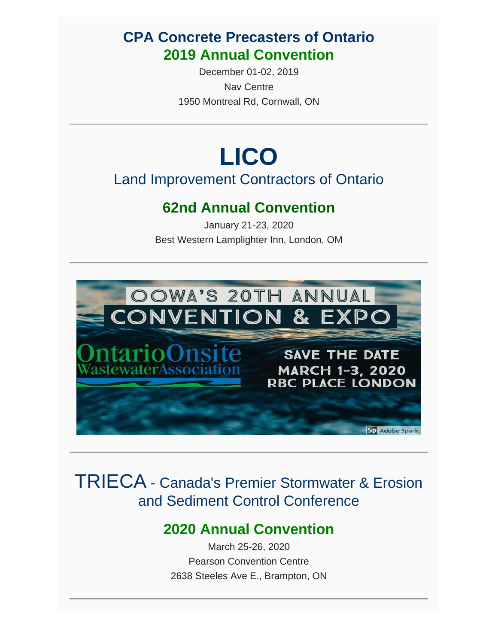#### **CPA Concrete Precasters of Ontario 2019 Annual Convention**

December 01-02, 2019 Nav Centre 1950 Montreal Rd, Cornwall, ON

## **LICO**

#### Land Improvement Contractors of Ontario

#### **62nd Annual Convention**

January 21-23, 2020 Best Western Lamplighter Inn, London, OM



#### TRIECA - Canada's Premier Stormwater & Erosion and Sediment Control Conference

#### **2020 Annual Convention**

March 25-26, 2020 Pearson Convention Centre 2638 Steeles Ave E., Brampton, ON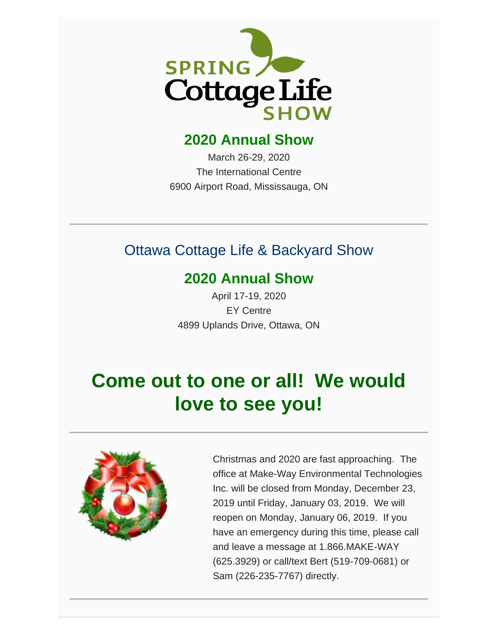

#### **2020 Annual Show**

March 26-29, 2020 The International Centre 6900 Airport Road, Mississauga, ON

#### Ottawa Cottage Life & Backyard Show

#### **2020 Annual Show**

April 17-19, 2020 EY Centre 4899 Uplands Drive, Ottawa, ON

## **Come out to one or all! We would love to see you!**



Christmas and 2020 are fast approaching. The office at Make-Way Environmental Technologies Inc. will be closed from Monday, December 23, 2019 until Friday, January 03, 2019. We will reopen on Monday, January 06, 2019. If you have an emergency during this time, please call and leave a message at 1.866.MAKE-WAY (625.3929) or call/text Bert (519-709-0681) or Sam (226-235-7767) directly.